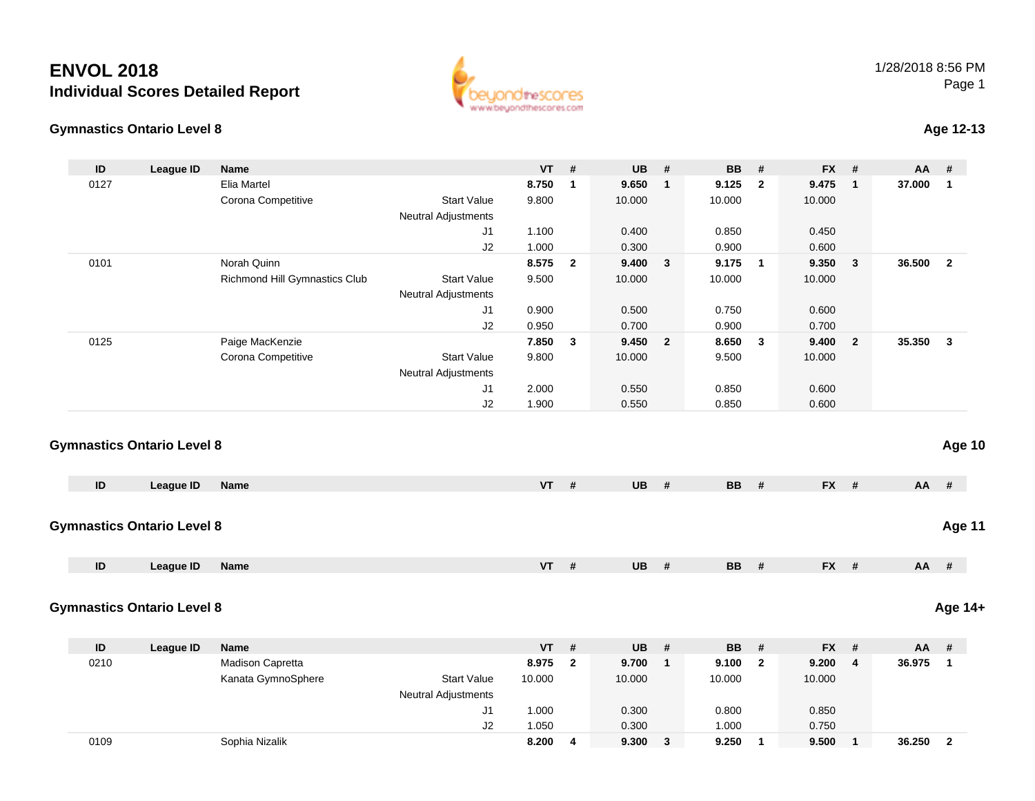## **ENVOL 2018Individual Scores Detailed Report**





## **Age 12-13**

| ID            | <b>League ID</b>                  | Name                          |                            | <b>VT</b> | #                       | <b>UB</b> | #              | <b>BB</b> | #              | FX #      |                | AA     | #                                                                   |
|---------------|-----------------------------------|-------------------------------|----------------------------|-----------|-------------------------|-----------|----------------|-----------|----------------|-----------|----------------|--------|---------------------------------------------------------------------|
| 0127          |                                   | Elia Martel                   |                            | 8.750     | $\overline{1}$          | 9.650     | $\mathbf{1}$   | 9.125     | $\overline{2}$ | 9.475     | $\mathbf{1}$   | 37.000 | $\overline{1}$                                                      |
|               |                                   | Corona Competitive            | <b>Start Value</b>         | 9.800     |                         | 10.000    |                | 10.000    |                | 10.000    |                |        |                                                                     |
|               |                                   |                               | <b>Neutral Adjustments</b> |           |                         |           |                |           |                |           |                |        |                                                                     |
|               |                                   |                               | J1                         | 1.100     |                         | 0.400     |                | 0.850     |                | 0.450     |                |        |                                                                     |
|               |                                   |                               | J2                         | 1.000     |                         | 0.300     |                | 0.900     |                | 0.600     |                |        |                                                                     |
| 0101          |                                   | Norah Quinn                   |                            | 8.575     | $\overline{\mathbf{2}}$ | 9.400     | $\mathbf{3}$   | 9.175     | $\blacksquare$ | 9.350     | $\mathbf{3}$   | 36.500 |                                                                     |
|               |                                   | Richmond Hill Gymnastics Club | <b>Start Value</b>         | 9.500     |                         | 10.000    |                | 10.000    |                | 10.000    |                |        |                                                                     |
|               |                                   |                               | Neutral Adjustments        |           |                         |           |                |           |                |           |                |        |                                                                     |
|               |                                   |                               | J1                         | 0.900     |                         | 0.500     |                | 0.750     |                | 0.600     |                |        |                                                                     |
|               |                                   |                               | J2                         | 0.950     |                         | 0.700     |                | 0.900     |                | 0.700     |                |        |                                                                     |
| 0125          |                                   | Paige MacKenzie               |                            | 7.850     | $\overline{\mathbf{3}}$ | 9.450     | $\overline{2}$ | 8.650     | $\mathbf{3}$   | 9.400     | $\overline{2}$ | 35.350 |                                                                     |
|               |                                   | Corona Competitive            | <b>Start Value</b>         | 9.800     |                         | 10.000    |                | 9.500     |                | 10.000    |                |        |                                                                     |
|               |                                   |                               | <b>Neutral Adjustments</b> |           |                         |           |                |           |                |           |                |        |                                                                     |
|               |                                   |                               | J1                         | 2.000     |                         | 0.550     |                | 0.850     |                | 0.600     |                |        |                                                                     |
|               |                                   |                               | J2                         | 1.900     |                         | 0.550     |                | 0.850     |                | 0.600     |                |        |                                                                     |
|               | <b>Gymnastics Ontario Level 8</b> |                               |                            |           |                         |           |                |           |                |           |                |        |                                                                     |
|               |                                   |                               |                            |           |                         |           |                |           |                |           |                |        |                                                                     |
| ID            | <b>League ID</b>                  | <b>Name</b>                   |                            | <b>VT</b> | #                       | <b>UB</b> | #              | <b>BB</b> | #              | FX #      |                | AA     |                                                                     |
|               | <b>Gymnastics Ontario Level 8</b> |                               |                            |           |                         |           |                |           |                |           |                |        |                                                                     |
| $\mathsf{ID}$ | <b>League ID</b>                  | Name                          |                            | <b>VT</b> | #                       | <b>UB</b> | #              | <b>BB</b> | #              | FX #      |                | AA     |                                                                     |
|               | <b>Gymnastics Ontario Level 8</b> |                               |                            |           |                         |           |                |           |                |           |                |        |                                                                     |
| ID            | <b>League ID</b>                  | Name                          |                            | VT        | #                       | <b>UB</b> | $\pmb{\#}$     | BB        | $\#$           | <b>FX</b> | #              | AA     |                                                                     |
| 0210          |                                   | Madison Capretta              |                            | 8.975     | $\overline{2}$          | 9.700     | $\mathbf{1}$   | 9.100     | $\overline{2}$ | 9.200     | 4              | 36.975 |                                                                     |
|               |                                   | Kanata GymnoSphere            | <b>Start Value</b>         | 10.000    |                         | 10.000    |                | 10.000    |                | 10.000    |                |        |                                                                     |
|               |                                   |                               | Neutral Adjustments        |           |                         |           |                |           |                |           |                |        |                                                                     |
|               |                                   |                               | J1                         | 1.000     |                         | 0.300     |                | 0.800     |                | 0.850     |                |        |                                                                     |
|               |                                   |                               | J2                         | 1.050     |                         | 0.300     |                | 1.000     |                | 0.750     |                |        | Age 10<br>Age 11<br>#<br>Age 14+<br>$\#$<br>$\overline{\mathbf{1}}$ |